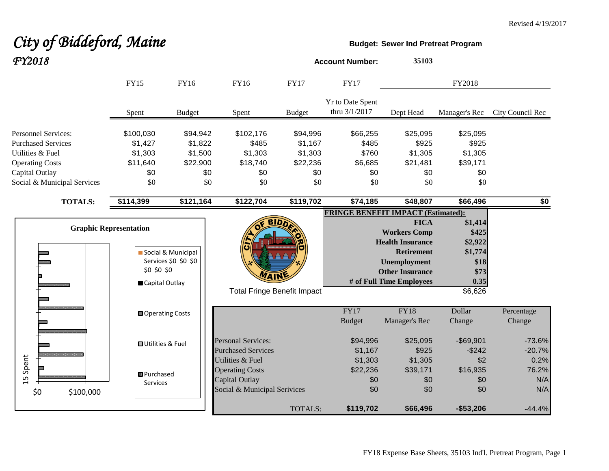# *City of Biddeford, Maine* **Budget:** Sewer Ind Pretreat Program

| FY2018                                                                                                                                                 |                |                                                                                                                |                                            |                                                                                                                     |                                            | <b>Account Number:</b>                                     | 35103                                                                                                                                                           |                                                                           |                             |
|--------------------------------------------------------------------------------------------------------------------------------------------------------|----------------|----------------------------------------------------------------------------------------------------------------|--------------------------------------------|---------------------------------------------------------------------------------------------------------------------|--------------------------------------------|------------------------------------------------------------|-----------------------------------------------------------------------------------------------------------------------------------------------------------------|---------------------------------------------------------------------------|-----------------------------|
|                                                                                                                                                        |                | <b>FY15</b>                                                                                                    | FY16                                       | FY16                                                                                                                | <b>FY17</b>                                | <b>FY17</b>                                                |                                                                                                                                                                 | FY2018                                                                    |                             |
|                                                                                                                                                        |                | Spent                                                                                                          | <b>Budget</b>                              | Spent                                                                                                               | <b>Budget</b>                              | <b>Yr to Date Spent</b><br>thru 3/1/2017                   | Dept Head                                                                                                                                                       | Manager's Rec                                                             | City Council Rec            |
| <b>Personnel Services:</b><br><b>Purchased Services</b><br>Utilities & Fuel<br><b>Operating Costs</b><br>Capital Outlay<br>Social & Municipal Services |                | \$100,030<br>\$94,942<br>\$1,822<br>\$1,427<br>\$1,303<br>\$1,500<br>\$11,640<br>\$22,900<br>\$0<br>\$0<br>\$0 |                                            | \$102,176<br>\$94,996<br>\$485<br>\$1,167<br>\$1,303<br>\$1,303<br>\$22,236<br>\$18,740<br>\$0<br>\$0<br>\$0<br>\$0 |                                            | \$66,255<br>\$485<br>\$760<br>\$6,685<br>\$0<br>\$0<br>\$0 | \$25,095<br>\$925<br>\$1,305<br>\$21,481<br>\$0<br>\$0                                                                                                          | \$25,095<br>\$925<br>\$1,305<br>\$39,171<br>\$0<br>\$0                    |                             |
|                                                                                                                                                        | <b>TOTALS:</b> | \$114,399                                                                                                      | \$121,164                                  | \$122,704                                                                                                           | \$119,702                                  | \$74,185                                                   | \$48,807                                                                                                                                                        | \$66,496                                                                  | \$0                         |
|                                                                                                                                                        |                | <b>Graphic Representation</b><br>\$0 \$0 \$0<br>Capital Outlay                                                 | Social & Municipal<br>Services \$0 \$0 \$0 |                                                                                                                     | BID.<br><b>Total Fringe Benefit Impact</b> | <b>FRINGE BENEFIT IMPACT (Estimated):</b>                  | <b>FICA</b><br><b>Workers Comp</b><br><b>Health Insurance</b><br><b>Retirement</b><br><b>Unemployment</b><br><b>Other Insurance</b><br># of Full Time Employees | \$1,414<br>\$425<br>\$2,922<br>\$1,774<br>\$18<br>\$73<br>0.35<br>\$6,626 |                             |
|                                                                                                                                                        |                | Operating Costs                                                                                                |                                            |                                                                                                                     |                                            | FY17<br><b>Budget</b>                                      | <b>FY18</b><br>Manager's Rec                                                                                                                                    | Dollar<br>Change                                                          | Percentage<br>Change        |
|                                                                                                                                                        |                | <b>□</b> Utilities & Fuel                                                                                      |                                            | <b>Personal Services:</b><br><b>Purchased Services</b>                                                              |                                            | \$94,996<br>\$1,167                                        | \$25,095<br>\$925                                                                                                                                               | $-$ \$69,901<br>$-$242$                                                   | $-73.6%$<br>$-20.7%$        |
| 15 Spent<br>\$0                                                                                                                                        | \$100,000      | 图 Purchased<br>Services                                                                                        |                                            | Utilities & Fuel<br><b>Operating Costs</b><br>Capital Outlay<br>Social & Municipal Serivices                        |                                            | \$1,303<br>\$22,236<br>\$0<br>\$0                          | \$1,305<br>\$39,171<br>\$0<br>\$0                                                                                                                               | \$2<br>\$16,935<br>\$0<br>\$0                                             | 0.2%<br>76.2%<br>N/A<br>N/A |
|                                                                                                                                                        |                |                                                                                                                |                                            |                                                                                                                     | <b>TOTALS:</b>                             | \$119,702                                                  | \$66,496                                                                                                                                                        | $- $53,206$                                                               | $-44.4%$                    |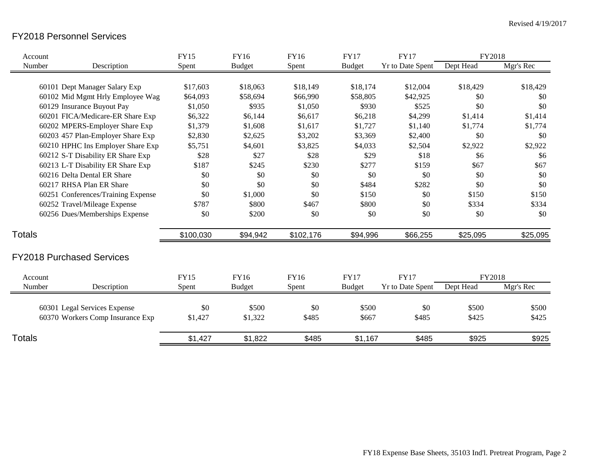### FY2018 Personnel Services

| Account       |                                    | <b>FY15</b> | <b>FY16</b>   | <b>FY16</b> | <b>FY17</b>   | <b>FY17</b>             | FY2018    |           |
|---------------|------------------------------------|-------------|---------------|-------------|---------------|-------------------------|-----------|-----------|
| Number        | Description                        | Spent       | <b>Budget</b> | Spent       | <b>Budget</b> | <b>Yr to Date Spent</b> | Dept Head | Mgr's Rec |
|               |                                    |             |               |             |               |                         |           |           |
|               | 60101 Dept Manager Salary Exp      | \$17,603    | \$18,063      | \$18,149    | \$18,174      | \$12,004                | \$18,429  | \$18,429  |
|               | 60102 Mid Mgmt Hrly Employee Wag   | \$64,093    | \$58,694      | \$66,990    | \$58,805      | \$42,925                | \$0       | \$0       |
|               | 60129 Insurance Buyout Pay         | \$1,050     | \$935         | \$1,050     | \$930         | \$525                   | \$0       | \$0       |
|               | 60201 FICA/Medicare-ER Share Exp   | \$6,322     | \$6,144       | \$6,617     | \$6,218       | \$4,299                 | \$1,414   | \$1,414   |
|               | 60202 MPERS-Employer Share Exp     | \$1,379     | \$1,608       | \$1,617     | \$1,727       | \$1,140                 | \$1,774   | \$1,774   |
|               | 60203 457 Plan-Employer Share Exp  | \$2,830     | \$2,625       | \$3,202     | \$3,369       | \$2,400                 | \$0       | \$0       |
|               | 60210 HPHC Ins Employer Share Exp  | \$5,751     | \$4,601       | \$3,825     | \$4,033       | \$2,504                 | \$2,922   | \$2,922   |
|               | 60212 S-T Disability ER Share Exp  | \$28        | \$27          | \$28        | \$29          | \$18                    | \$6       | \$6       |
|               | 60213 L-T Disability ER Share Exp  | \$187       | \$245         | \$230       | \$277         | \$159                   | \$67      | \$67      |
|               | 60216 Delta Dental ER Share        | \$0         | \$0           | \$0         | \$0           | \$0                     | \$0       | \$0       |
|               | 60217 RHSA Plan ER Share           | \$0         | \$0           | \$0         | \$484         | \$282                   | \$0       | \$0       |
|               | 60251 Conferences/Training Expense | \$0         | \$1,000       | \$0         | \$150         | \$0                     | \$150     | \$150     |
|               | 60252 Travel/Mileage Expense       | \$787       | \$800         | \$467       | \$800         | \$0                     | \$334     | \$334     |
|               | 60256 Dues/Memberships Expense     | \$0         | \$200         | \$0         | \$0           | \$0                     | \$0       | \$0       |
| <b>Totals</b> |                                    | \$100,030   | \$94,942      | \$102,176   | \$94,996      | \$66,255                | \$25,095  | \$25,095  |
|               | <b>FY2018 Purchased Services</b>   |             |               |             |               |                         |           |           |
| Account       |                                    | <b>FY15</b> | <b>FY16</b>   | FY16        | <b>FY17</b>   | <b>FY17</b>             | FY2018    |           |
| Number        | Description                        | Spent       | <b>Budget</b> | Spent       | <b>Budget</b> | <b>Yr to Date Spent</b> | Dept Head | Mgr's Rec |
|               | 60301 Legal Services Expense       | \$0         | \$500         | \$0         | \$500         | \$0                     | \$500     | \$500     |
|               | 60370 Workers Comp Insurance Exp   | \$1,427     | \$1,322       | \$485       | \$667         | \$485                   | \$425     | \$425     |
| Totals        |                                    | \$1,427     | \$1,822       | \$485       | \$1,167       | \$485                   | \$925     | \$925     |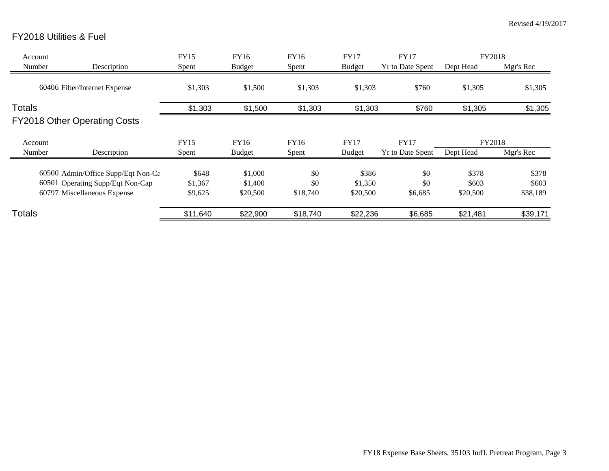## FY2018 Utilities & Fuel

| Account       |                                     | FY15     | FY16          | <b>FY16</b> | <b>FY17</b>   | <b>FY17</b>             | FY2018    |           |
|---------------|-------------------------------------|----------|---------------|-------------|---------------|-------------------------|-----------|-----------|
| Number        | Description                         | Spent    | <b>Budget</b> | Spent       | <b>Budget</b> | <b>Yr to Date Spent</b> | Dept Head | Mgr's Rec |
|               | 60406 Fiber/Internet Expense        | \$1,303  | \$1,500       | \$1,303     | \$1,303       | \$760                   | \$1,305   | \$1,305   |
| <b>Totals</b> |                                     | \$1,303  | \$1,500       | \$1,303     | \$1,303       | \$760                   | \$1,305   | \$1,305   |
|               | <b>FY2018 Other Operating Costs</b> |          |               |             |               |                         |           |           |
| Account       |                                     | FY15     | FY16          | <b>FY16</b> | <b>FY17</b>   | <b>FY17</b>             | FY2018    |           |
| Number        | Description                         | Spent    | <b>Budget</b> | Spent       | <b>Budget</b> | <b>Yr to Date Spent</b> | Dept Head | Mgr's Rec |
|               | 60500 Admin/Office Supp/Eqt Non-Ca  | \$648    | \$1,000       | \$0         | \$386         | \$0                     | \$378     | \$378     |
|               | 60501 Operating Supp/Eqt Non-Cap    | \$1,367  | \$1,400       | \$0         | \$1,350       | \$0                     | \$603     | \$603     |
|               | 60797 Miscellaneous Expense         | \$9,625  | \$20,500      | \$18,740    | \$20,500      | \$6,685                 | \$20,500  | \$38,189  |
| Totals        |                                     | \$11,640 | \$22,900      | \$18,740    | \$22,236      | \$6,685                 | \$21,481  | \$39,171  |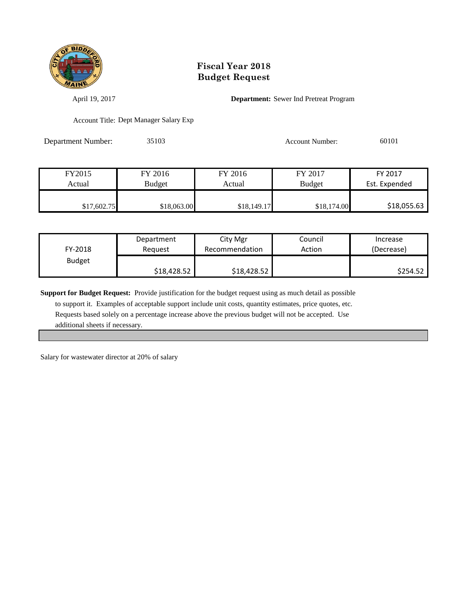

April 19, 2017 **Department:** Sewer Ind Pretreat Program

Account Title: Dept Manager Salary Exp

Department Number: 35103 Account Number: 60101

| FY2015      | FY 2016       | FY 2016     | FY 2017       | FY 2017       |
|-------------|---------------|-------------|---------------|---------------|
| Actual      | <b>Budget</b> | Actual      | <b>Budget</b> | Est. Expended |
|             |               |             |               |               |
| \$17,602.75 | \$18,063.00   | \$18,149.17 | \$18,174.00   | \$18,055.63   |

| FY-2018       | Department  | City Mgr       | Council | Increase   |
|---------------|-------------|----------------|---------|------------|
|               | Reauest     | Recommendation | Action  | (Decrease) |
| <b>Budget</b> | \$18,428.52 | \$18,428.52    |         | \$254.52   |

**Support for Budget Request:** Provide justification for the budget request using as much detail as possible

 to support it. Examples of acceptable support include unit costs, quantity estimates, price quotes, etc. Requests based solely on a percentage increase above the previous budget will not be accepted. Use additional sheets if necessary.

Salary for wastewater director at 20% of salary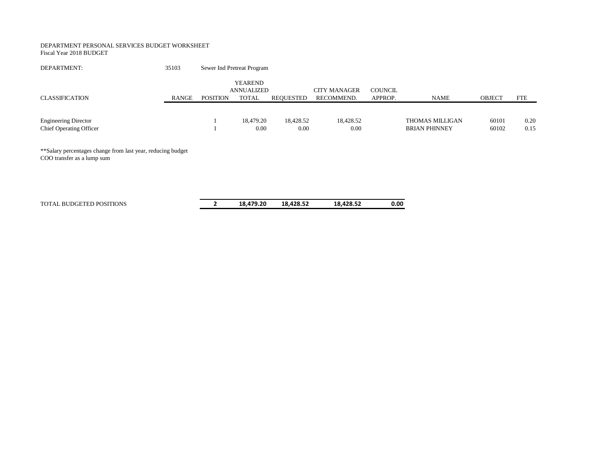#### DEPARTMENT PERSONAL SERVICES BUDGET WORKSHEET

Fiscal Year 2018 BUDGET

| DEPARTMENT:                                                   | 35103 |                 | Sewer Ind Pretreat Program                   |                   |                                   |                    |                                         |                |              |
|---------------------------------------------------------------|-------|-----------------|----------------------------------------------|-------------------|-----------------------------------|--------------------|-----------------------------------------|----------------|--------------|
| <b>CLASSIFICATION</b>                                         | RANGE | <b>POSITION</b> | <b>YEAREND</b><br>ANNUALIZED<br><b>TOTAL</b> | REOUESTED         | <b>CITY MANAGER</b><br>RECOMMEND. | COUNCIL<br>APPROP. | <b>NAME</b>                             | <b>OBJECT</b>  | <b>FTE</b>   |
| <b>Engineering Director</b><br><b>Chief Operating Officer</b> |       |                 | 18.479.20<br>0.00                            | 18.428.52<br>0.00 | 18.428.52<br>0.00                 |                    | THOMAS MILLIGAN<br><b>BRIAN PHINNEY</b> | 60101<br>60102 | 0.20<br>0.15 |

\*\*Salary percentages change from last year, reducing budget COO transfer as a lump sum

| TOTAL BUDGETED POSITIONS | 18.479.20 | 18.428.52 | 18.428.52 | 0.00 |
|--------------------------|-----------|-----------|-----------|------|
|                          |           |           |           |      |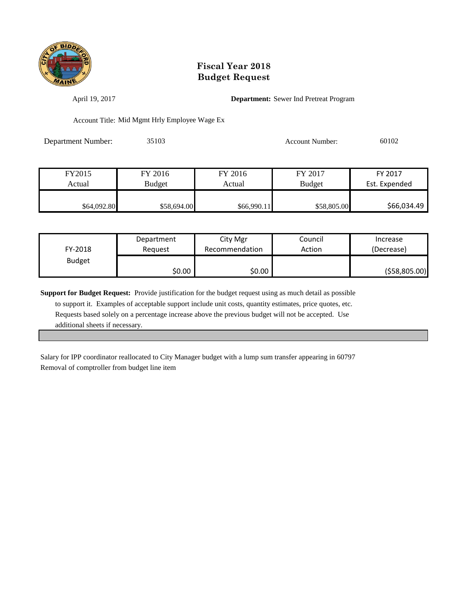

April 19, 2017 **Department:** Sewer Ind Pretreat Program

Account Title: Mid Mgmt Hrly Employee Wage Ex

Department Number: 35103 Account Number: 60102

| FY2015      | FY 2016       | FY 2016     | FY 2017       | FY 2017       |
|-------------|---------------|-------------|---------------|---------------|
| Actual      | <b>Budget</b> | Actual      | <b>Budget</b> | Est. Expended |
|             |               |             |               |               |
| \$64,092.80 | \$58,694.00   | \$66,990.11 | \$58,805.00   | \$66,034.49   |

| FY-2018       | Department | City Mgr       | Council | Increase        |
|---------------|------------|----------------|---------|-----------------|
|               | Reauest    | Recommendation | Action  | (Decrease)      |
| <b>Budget</b> | \$0.00     | \$0.00         |         | ( \$58, 805.00) |

**Support for Budget Request:** Provide justification for the budget request using as much detail as possible to support it. Examples of acceptable support include unit costs, quantity estimates, price quotes, etc. Requests based solely on a percentage increase above the previous budget will not be accepted. Use additional sheets if necessary.

Salary for IPP coordinator reallocated to City Manager budget with a lump sum transfer appearing in 60797 Removal of comptroller from budget line item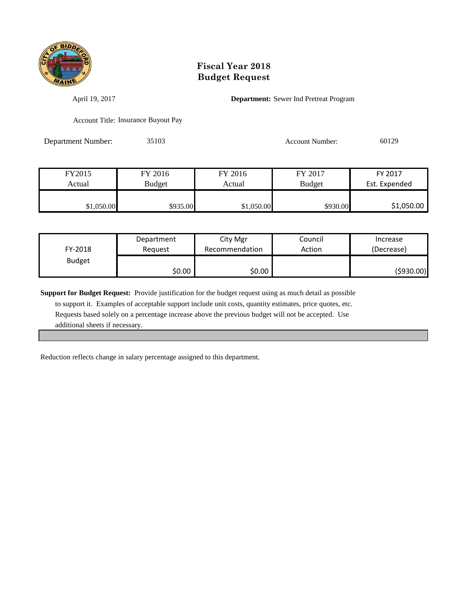

April 19, 2017 **Department:** Sewer Ind Pretreat Program

Account Title: Insurance Buyout Pay

Department Number: 35103 Account Number: 60129

| FY2015                  | FY 2016  | FY 2016    | FY 2017       | FY 2017       |
|-------------------------|----------|------------|---------------|---------------|
| <b>Budget</b><br>Actual |          | Actual     | <b>Budget</b> | Est. Expended |
|                         |          |            |               |               |
| \$1,050.00              | \$935.00 | \$1,050.00 | \$930.00      | \$1,050.00    |

| FY-2018       | Department | City Mgr       | Council | Increase   |
|---------------|------------|----------------|---------|------------|
|               | Reauest    | Recommendation | Action  | (Decrease) |
| <b>Budget</b> | \$0.00     | \$0.00         |         | (\$930.00) |

**Support for Budget Request:** Provide justification for the budget request using as much detail as possible

 to support it. Examples of acceptable support include unit costs, quantity estimates, price quotes, etc. Requests based solely on a percentage increase above the previous budget will not be accepted. Use additional sheets if necessary.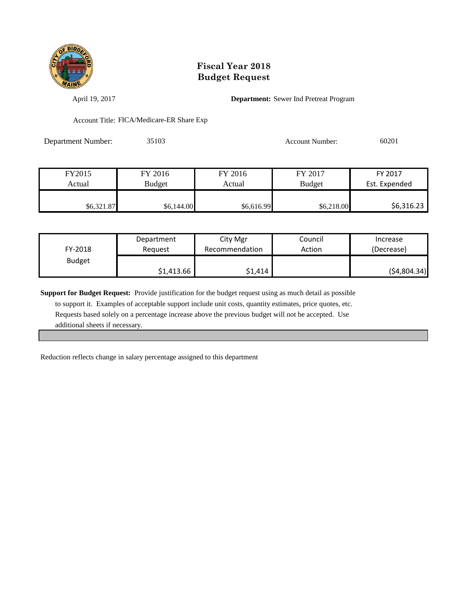

April 19, 2017 **Department:** Sewer Ind Pretreat Program

Account Title: FICA/Medicare-ER Share Exp

Department Number: 35103 Account Number: 60201

| FY2015     | FY 2016    | FY 2016    | FY 2017       | FY 2017       |
|------------|------------|------------|---------------|---------------|
| Actual     | Budget     | Actual     | <b>Budget</b> | Est. Expended |
|            |            |            |               |               |
| \$6,321.87 | \$6,144.00 | \$6,616.99 | \$6,218.00    | \$6,316.23    |

| FY-2018       | Department | City Mgr       | Council | Increase    |
|---------------|------------|----------------|---------|-------------|
|               | Reauest    | Recommendation | Action  | (Decrease)  |
| <b>Budget</b> | \$1,413.66 | \$1,414        |         | (54,804.34) |

**Support for Budget Request:** Provide justification for the budget request using as much detail as possible

 to support it. Examples of acceptable support include unit costs, quantity estimates, price quotes, etc. Requests based solely on a percentage increase above the previous budget will not be accepted. Use additional sheets if necessary.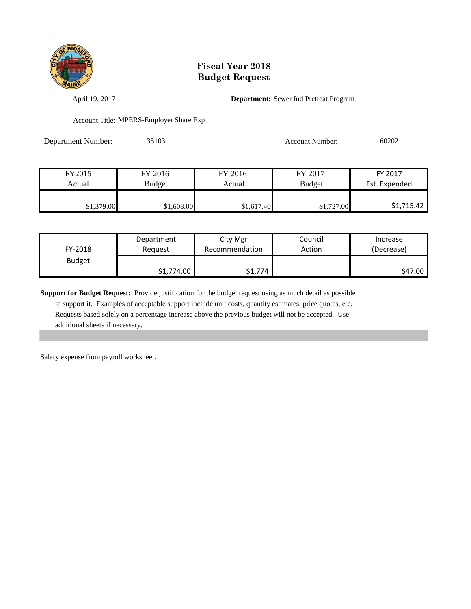

April 19, 2017 **Department:** Sewer Ind Pretreat Program

Account Title: MPERS-Employer Share Exp

Department Number: 35103 Account Number: 60202

| FY2015     | FY 2016       | FY 2016    | FY 2017       | FY 2017       |
|------------|---------------|------------|---------------|---------------|
| Actual     | <b>Budget</b> | Actual     | <b>Budget</b> | Est. Expended |
|            |               |            |               |               |
| \$1,379.00 | \$1,608.00    | \$1,617.40 | \$1,727.00    | \$1,715.42    |

| FY-2018       | Department | City Mgr       | Council | Increase   |
|---------------|------------|----------------|---------|------------|
|               | Reauest    | Recommendation | Action  | (Decrease) |
| <b>Budget</b> | \$1,774.00 | \$1,774        |         | \$47.00    |

**Support for Budget Request:** Provide justification for the budget request using as much detail as possible

 to support it. Examples of acceptable support include unit costs, quantity estimates, price quotes, etc. Requests based solely on a percentage increase above the previous budget will not be accepted. Use additional sheets if necessary.

Salary expense from payroll worksheet.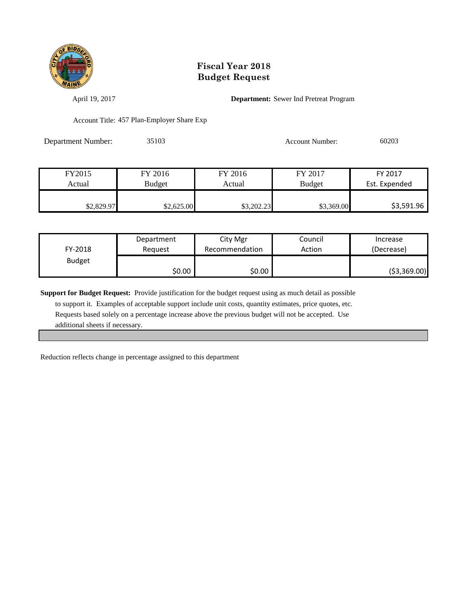

April 19, 2017 **Department:** Sewer Ind Pretreat Program

Account Title: 457 Plan-Employer Share Exp

| <b>Department Number:</b> | 35103 | Account Number: | 60203 |
|---------------------------|-------|-----------------|-------|
|                           |       |                 |       |

| FY2015     | FY 2016       | FY 2016    | FY 2017       | FY 2017       |
|------------|---------------|------------|---------------|---------------|
| Actual     | <b>Budget</b> | Actual     | <b>Budget</b> | Est. Expended |
|            |               |            |               |               |
| \$2,829.97 | \$2,625.00    | \$3,202.23 | \$3,369.00    | \$3,591.96    |

| FY-2018       | Department | City Mgr       | Council | Increase      |
|---------------|------------|----------------|---------|---------------|
|               | Reauest    | Recommendation | Action  | (Decrease)    |
| <b>Budget</b> | \$0.00     | \$0.00         |         | ( \$3,369.00) |

**Support for Budget Request:** Provide justification for the budget request using as much detail as possible

 to support it. Examples of acceptable support include unit costs, quantity estimates, price quotes, etc. Requests based solely on a percentage increase above the previous budget will not be accepted. Use additional sheets if necessary.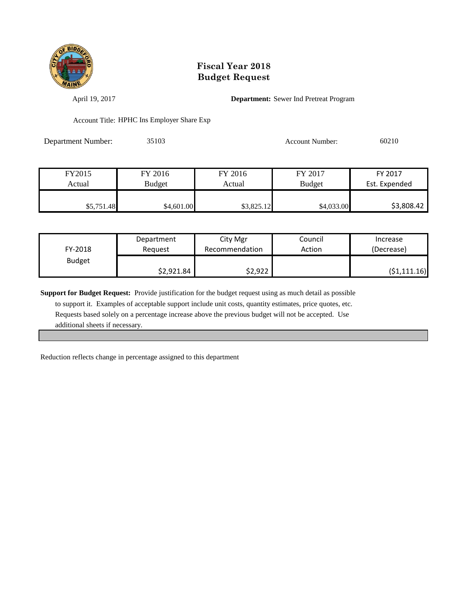

April 19, 2017 **Department:** Sewer Ind Pretreat Program

Account Title: HPHC Ins Employer Share Exp

| Department Number: | 35103 | <b>Account Number:</b> | 60210 |
|--------------------|-------|------------------------|-------|
|                    |       |                        |       |

| FY2015     | FY 2016       | FY 2016    | FY 2017       | FY 2017       |
|------------|---------------|------------|---------------|---------------|
| Actual     | <b>Budget</b> | Actual     | <b>Budget</b> | Est. Expended |
|            |               |            |               |               |
| \$5,751.48 | \$4,601.00    | \$3,825.12 | \$4,033.00    | \$3,808.42    |

| FY-2018       | Department | City Mgr       | Council | Increase     |
|---------------|------------|----------------|---------|--------------|
|               | Reauest    | Recommendation | Action  | (Decrease)   |
| <b>Budget</b> | \$2,921.84 | \$2,922        |         | (51, 111.16) |

**Support for Budget Request:** Provide justification for the budget request using as much detail as possible

 to support it. Examples of acceptable support include unit costs, quantity estimates, price quotes, etc. Requests based solely on a percentage increase above the previous budget will not be accepted. Use additional sheets if necessary.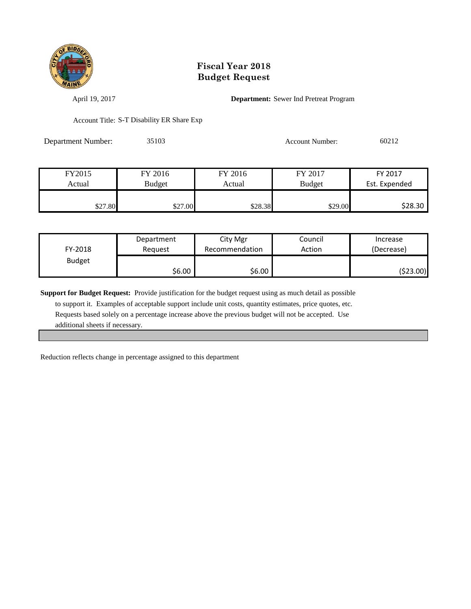

April 19, 2017 **Department:** Sewer Ind Pretreat Program

Account Title: S-T Disability ER Share Exp

Department Number: 35103 Account Number: 60212

| FY2015  | FY 2016       | FY 2016 | FY 2017       | FY 2017       |
|---------|---------------|---------|---------------|---------------|
| Actual  | <b>Budget</b> | Actual  | <b>Budget</b> | Est. Expended |
|         |               |         |               |               |
| \$27.80 | \$27.00       | \$28.38 | \$29.00       | \$28.30       |

| FY-2018       | Department | City Mgr       | Council | Increase   |
|---------------|------------|----------------|---------|------------|
|               | Reauest    | Recommendation | Action  | (Decrease) |
| <b>Budget</b> | \$6.00     | \$6.00         |         | (523.00)   |

**Support for Budget Request:** Provide justification for the budget request using as much detail as possible

 to support it. Examples of acceptable support include unit costs, quantity estimates, price quotes, etc. Requests based solely on a percentage increase above the previous budget will not be accepted. Use additional sheets if necessary.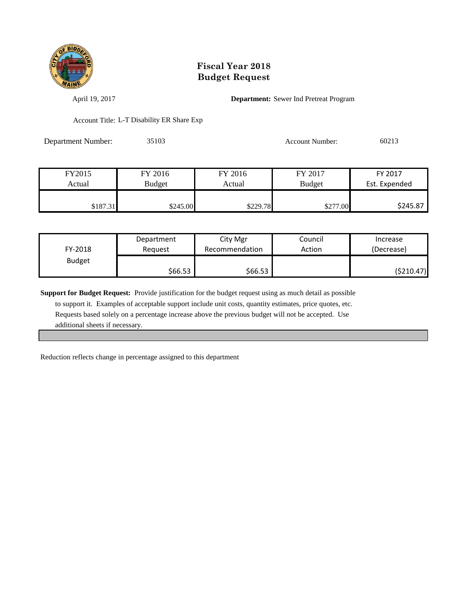

April 19, 2017 **Department:** Sewer Ind Pretreat Program

Account Title: L-T Disability ER Share Exp

Department Number: 35103 Account Number: 60213

| FY2015   | FY 2016       | FY 2016  | FY 2017       | FY 2017       |
|----------|---------------|----------|---------------|---------------|
| Actual   | <b>Budget</b> | Actual   | <b>Budget</b> | Est. Expended |
|          |               |          |               |               |
| \$187.31 | \$245.00      | \$229.78 | \$277.00      | \$245.87      |

| FY-2018       | Department | City Mgr       | Council | Increase   |
|---------------|------------|----------------|---------|------------|
|               | Reauest    | Recommendation | Action  | (Decrease) |
| <b>Budget</b> | \$66.53    | \$66.53        |         | (\$210.47) |

**Support for Budget Request:** Provide justification for the budget request using as much detail as possible

 to support it. Examples of acceptable support include unit costs, quantity estimates, price quotes, etc. Requests based solely on a percentage increase above the previous budget will not be accepted. Use additional sheets if necessary.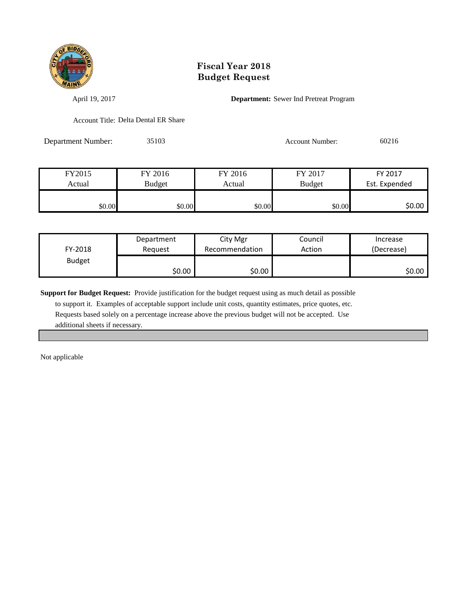

April 19, 2017 **Department:** Sewer Ind Pretreat Program

Account Title: Delta Dental ER Share

Department Number: 35103 Account Number: 60216

| FY2015 | FY 2016       | FY 2016 | FY 2017       | FY 2017       |
|--------|---------------|---------|---------------|---------------|
| Actual | <b>Budget</b> | Actual  | <b>Budget</b> | Est. Expended |
|        |               |         |               |               |
| \$0.00 | \$0.00        | \$0.00  | \$0.00        | \$0.00        |

| FY-2018       | Department | City Mgr       | Council | Increase   |
|---------------|------------|----------------|---------|------------|
|               | Reauest    | Recommendation | Action  | (Decrease) |
| <b>Budget</b> | \$0.00     | \$0.00         |         | SO.OO      |

**Support for Budget Request:** Provide justification for the budget request using as much detail as possible

 to support it. Examples of acceptable support include unit costs, quantity estimates, price quotes, etc. Requests based solely on a percentage increase above the previous budget will not be accepted. Use additional sheets if necessary.

Not applicable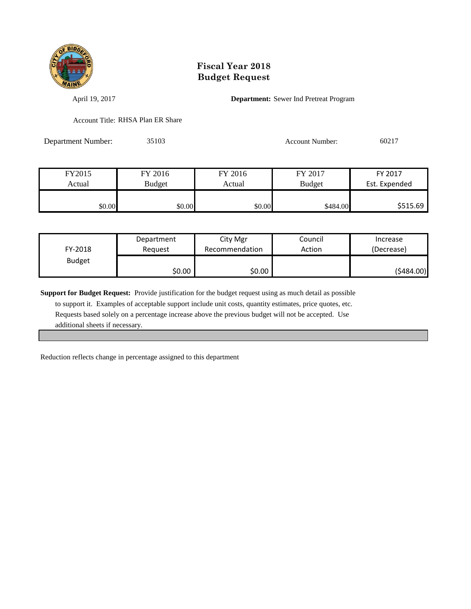

April 19, 2017 **Department:** Sewer Ind Pretreat Program

Account Title: RHSA Plan ER Share

Department Number: 35103 Account Number: 60217

| FY2015 | FY 2016       | FY 2016 | FY 2017       | FY 2017       |
|--------|---------------|---------|---------------|---------------|
| Actual | <b>Budget</b> | Actual  | <b>Budget</b> | Est. Expended |
|        |               |         |               |               |
| \$0.00 | \$0.00        | \$0.00  | \$484.00      | \$515.69      |

| FY-2018       | Department | City Mgr       | Council | Increase   |
|---------------|------------|----------------|---------|------------|
|               | Reauest    | Recommendation | Action  | (Decrease) |
| <b>Budget</b> | \$0.00     | \$0.00         |         | (\$484.00) |

**Support for Budget Request:** Provide justification for the budget request using as much detail as possible

 to support it. Examples of acceptable support include unit costs, quantity estimates, price quotes, etc. Requests based solely on a percentage increase above the previous budget will not be accepted. Use additional sheets if necessary.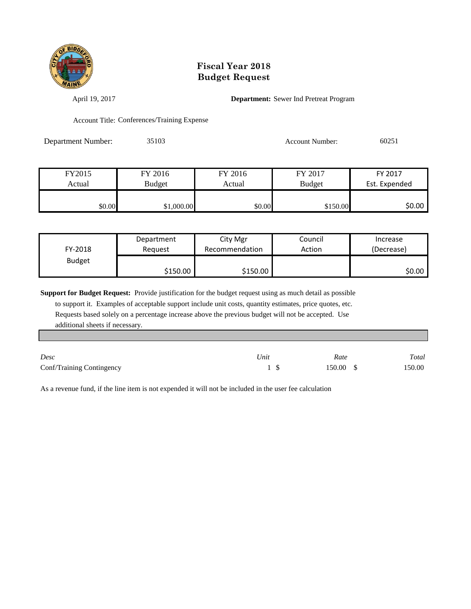

April 19, 2017 **Department:** Sewer Ind Pretreat Program

Account Title: Conferences/Training Expense

| Department Number: | 35103 | Account Number: | 60251 |
|--------------------|-------|-----------------|-------|
|                    |       |                 |       |

| FY2015 | FY 2016       | FY 2016 | FY 2017       | FY 2017       |
|--------|---------------|---------|---------------|---------------|
| Actual | <b>Budget</b> | Actual  | <b>Budget</b> | Est. Expended |
|        |               |         |               |               |
| \$0.00 | \$1,000.00    | \$0.00  | \$150.00      | \$0.00        |

| FY-2018       | Department | City Mgr       | Council | Increase   |
|---------------|------------|----------------|---------|------------|
|               | Reauest    | Recommendation | Action  | (Decrease) |
| <b>Budget</b> | \$150.00   | \$150.00       |         | ا 50.00    |

**Support for Budget Request:** Provide justification for the budget request using as much detail as possible

 to support it. Examples of acceptable support include unit costs, quantity estimates, price quotes, etc. Requests based solely on a percentage increase above the previous budget will not be accepted. Use additional sheets if necessary.

| Desc                      | Unit | Rate      | Total  |
|---------------------------|------|-----------|--------|
| Conf/Training Contingency |      | 150.00 \$ | 150.00 |

As a revenue fund, if the line item is not expended it will not be included in the user fee calculation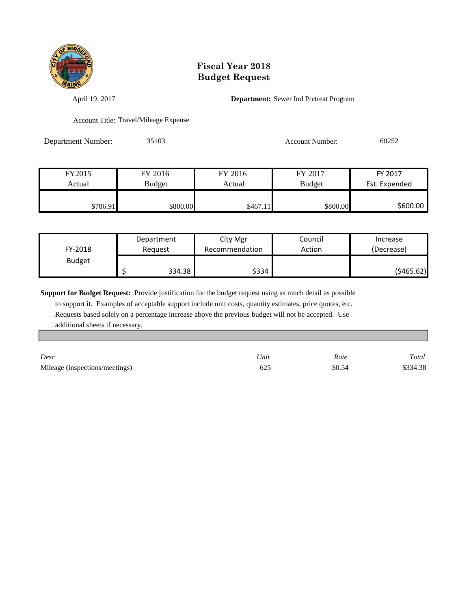

April 19, 2017 **Department:** Sewer Ind Pretreat Program

Account Title: Travel/Mileage Expense

Department Number: 35103 Account Number: 60252

| FY2015   | FY 2016       | FY 2016  | FY 2017  | FY 2017       |
|----------|---------------|----------|----------|---------------|
| Actual   | <b>Budget</b> | Actual   | Budget   | Est. Expended |
|          |               |          |          |               |
| \$786.91 | \$800.00      | \$467.11 | \$800.00 | \$600.00      |

| FY-2018       | Department | City Mgr       | Council | Increase   |
|---------------|------------|----------------|---------|------------|
|               | Reauest    | Recommendation | Action  | (Decrease) |
| <b>Budget</b> | 334.38     | \$334          |         | (\$465.62) |

**Support for Budget Request:** Provide justification for the budget request using as much detail as possible

 to support it. Examples of acceptable support include unit costs, quantity estimates, price quotes, etc. Requests based solely on a percentage increase above the previous budget will not be accepted. Use additional sheets if necessary.

| Desc                           | Unit | Rate   | Total    |
|--------------------------------|------|--------|----------|
| Mileage (inspections/meetings) | 625  | \$0.54 | \$334.38 |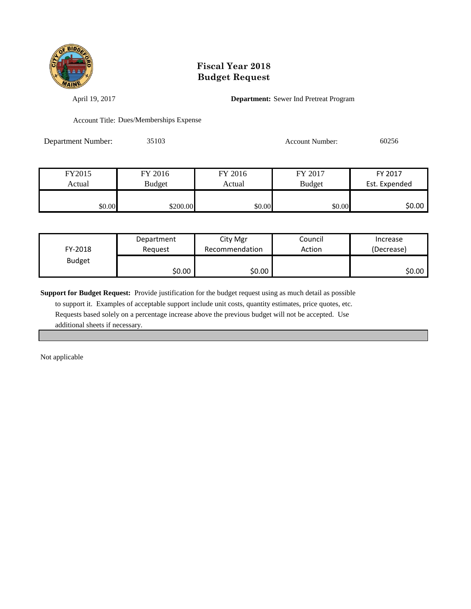

April 19, 2017 **Department:** Sewer Ind Pretreat Program

Account Title: Dues/Memberships Expense

Department Number: 35103 Account Number: 60256

| FY2015 | FY 2016       | FY 2016 | FY 2017       | FY 2017       |
|--------|---------------|---------|---------------|---------------|
| Actual | <b>Budget</b> | Actual  | <b>Budget</b> | Est. Expended |
|        |               |         |               |               |
| \$0.00 | \$200.00      | \$0.00  | \$0.00        | \$0.00        |

| FY-2018       | Department | City Mgr       | Council | Increase   |
|---------------|------------|----------------|---------|------------|
|               | Reauest    | Recommendation | Action  | (Decrease) |
| <b>Budget</b> | \$0.00     | \$0.00         |         | \$0.00     |

**Support for Budget Request:** Provide justification for the budget request using as much detail as possible

 to support it. Examples of acceptable support include unit costs, quantity estimates, price quotes, etc. Requests based solely on a percentage increase above the previous budget will not be accepted. Use additional sheets if necessary.

Not applicable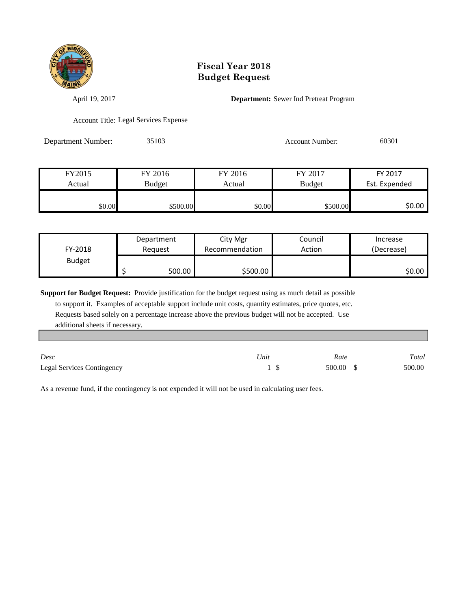

April 19, 2017 **Department:** Sewer Ind Pretreat Program

Account Title: Legal Services Expense

Department Number: 35103 Account Number: 60301

| FY2015 | FY 2016       | FY 2016 | FY 2017       | FY 2017       |
|--------|---------------|---------|---------------|---------------|
| Actual | <b>Budget</b> | Actual  | <b>Budget</b> | Est. Expended |
|        |               |         |               |               |
| \$0.00 | \$500.00      | \$0.00  | \$500.00      | \$0.00        |

| FY-2018       | Department | City Mgr       | Council | Increase   |
|---------------|------------|----------------|---------|------------|
|               | Reauest    | Recommendation | Action  | (Decrease) |
| <b>Budget</b> | 500.00     | \$500.00       |         | ا 50.00    |

**Support for Budget Request:** Provide justification for the budget request using as much detail as possible

 to support it. Examples of acceptable support include unit costs, quantity estimates, price quotes, etc. Requests based solely on a percentage increase above the previous budget will not be accepted. Use additional sheets if necessary.

| Desc                              | 'Jnit | Rate      | Total  |
|-----------------------------------|-------|-----------|--------|
| <b>Legal Services Contingency</b> |       | 500.00 \$ | 500.00 |

As a revenue fund, if the contingency is not expended it will not be used in calculating user fees.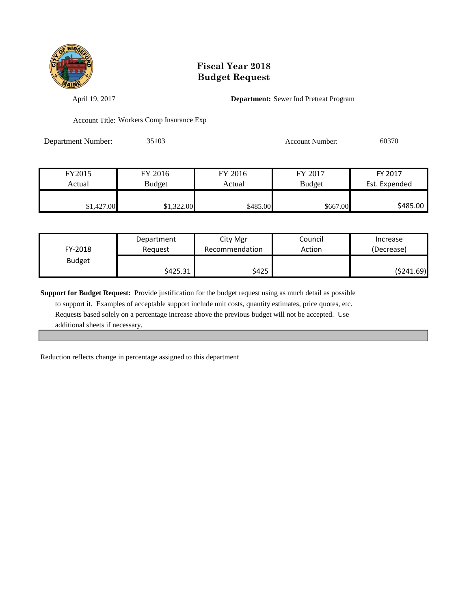

April 19, 2017 **Department:** Sewer Ind Pretreat Program

Account Title: Workers Comp Insurance Exp

Department Number: 35103 Account Number: 60370

| FY2015     | FY 2016       | FY 2016  | FY 2017       | FY 2017       |
|------------|---------------|----------|---------------|---------------|
| Actual     | <b>Budget</b> | Actual   | <b>Budget</b> | Est. Expended |
|            |               |          |               |               |
| \$1,427.00 | \$1,322.00    | \$485.00 | \$667.00      | \$485.00      |

| FY-2018       | Department | City Mgr       | Council | Increase   |
|---------------|------------|----------------|---------|------------|
|               | Reauest    | Recommendation | Action  | (Decrease) |
| <b>Budget</b> | \$425.31   | \$425          |         | (\$241.69) |

**Support for Budget Request:** Provide justification for the budget request using as much detail as possible

 to support it. Examples of acceptable support include unit costs, quantity estimates, price quotes, etc. Requests based solely on a percentage increase above the previous budget will not be accepted. Use additional sheets if necessary.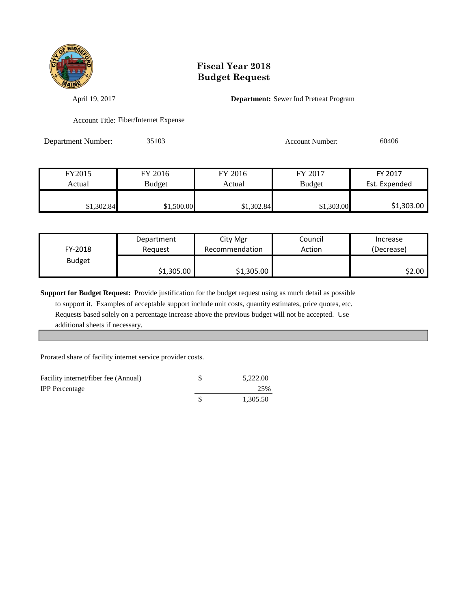

April 19, 2017 **Department:** Sewer Ind Pretreat Program

Account Title: Fiber/Internet Expense

Department Number: 35103 Account Number: 60406

| FY2015     | FY 2016    | FY 2016    | FY 2017       | FY 2017       |
|------------|------------|------------|---------------|---------------|
| Actual     | Budget     | Actual     | <b>Budget</b> | Est. Expended |
|            |            |            |               |               |
| \$1,302.84 | \$1,500.00 | \$1,302.84 | \$1,303.00    | \$1,303.00    |

| FY-2018       | Department | City Mgr       | Council | Increase   |
|---------------|------------|----------------|---------|------------|
|               | Reauest    | Recommendation | Action  | (Decrease) |
| <b>Budget</b> | \$1,305.00 | \$1,305.00     |         | S2.00 I    |

**Support for Budget Request:** Provide justification for the budget request using as much detail as possible

 to support it. Examples of acceptable support include unit costs, quantity estimates, price quotes, etc. Requests based solely on a percentage increase above the previous budget will not be accepted. Use additional sheets if necessary.

Prorated share of facility internet service provider costs.

| Facility internet/fiber fee (Annual) | 5.222.00 |
|--------------------------------------|----------|
| <b>IPP</b> Percentage                | 25%      |
|                                      | 1.305.50 |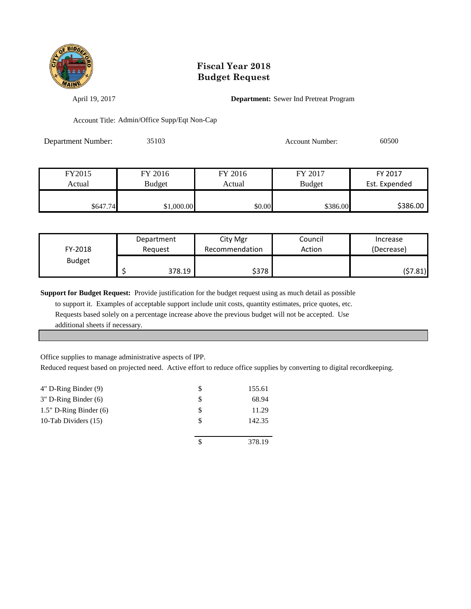

April 19, 2017 **Department:** Sewer Ind Pretreat Program

Account Title: Admin/Office Supp/Eqt Non-Cap

| Department Number: | 35103 | Account Number: | 60500 |
|--------------------|-------|-----------------|-------|
|                    |       |                 |       |

| FY2015   | FY 2016       | FY 2016 | FY 2017       | FY 2017       |
|----------|---------------|---------|---------------|---------------|
| Actual   | <b>Budget</b> | Actual  | <b>Budget</b> | Est. Expended |
|          |               |         |               |               |
| \$647.74 | \$1,000.00    | \$0.00  | \$386.00      | \$386.00      |

| FY-2018       | Department |        | City Mgr       | Council | Increase   |
|---------------|------------|--------|----------------|---------|------------|
|               | Reauest    |        | Recommendation | Action  | (Decrease) |
| <b>Budget</b> |            | 378.19 | \$378          |         | (57.81)    |

**Support for Budget Request:** Provide justification for the budget request using as much detail as possible

 to support it. Examples of acceptable support include unit costs, quantity estimates, price quotes, etc. Requests based solely on a percentage increase above the previous budget will not be accepted. Use additional sheets if necessary.

Office supplies to manage administrative aspects of IPP.

Reduced request based on projected need. Active effort to reduce office supplies by converting to digital recordkeeping.

| 155.61 |
|--------|
| 68.94  |
| 11.29  |
| 142.35 |
|        |
| 378.19 |
|        |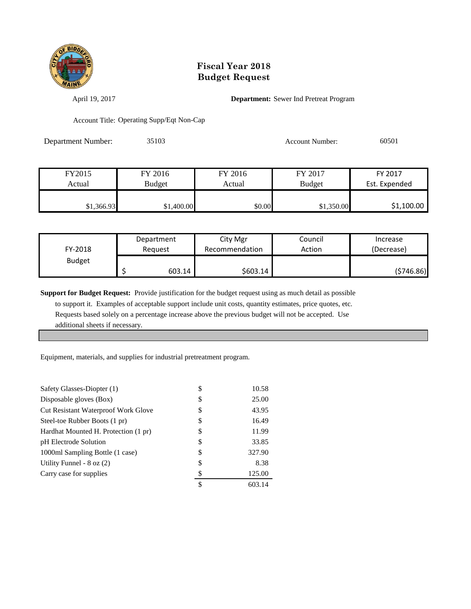

April 19, 2017 **Department:** Sewer Ind Pretreat Program

Account Title: Operating Supp/Eqt Non-Cap

Department Number: 35103 Account Number: 60501

| FY2015     | FY 2016       | FY 2016 | FY 2017       | FY 2017       |
|------------|---------------|---------|---------------|---------------|
| Actual     | <b>Budget</b> | Actual  | <b>Budget</b> | Est. Expended |
|            |               |         |               |               |
| \$1,366.93 | \$1,400.00    | \$0.00  | \$1,350.00    | \$1,100.00    |

| FY-2018       | Department |        | City Mgr       | Council | Increase   |
|---------------|------------|--------|----------------|---------|------------|
|               | Reauest    |        | Recommendation | Action  | (Decrease) |
| <b>Budget</b> |            | 603.14 | \$603.14       |         | (\$746.86) |

**Support for Budget Request:** Provide justification for the budget request using as much detail as possible

 to support it. Examples of acceptable support include unit costs, quantity estimates, price quotes, etc. Requests based solely on a percentage increase above the previous budget will not be accepted. Use additional sheets if necessary.

Equipment, materials, and supplies for industrial pretreatment program.

| Safety Glasses-Diopter (1)           | \$ | 10.58  |
|--------------------------------------|----|--------|
| Disposable gloves (Box)              | S  | 25.00  |
| Cut Resistant Waterproof Work Glove  | \$ | 43.95  |
| Steel-toe Rubber Boots (1 pr)        | \$ | 16.49  |
| Hardhat Mounted H. Protection (1 pr) | S  | 11.99  |
| pH Electrode Solution                | S  | 33.85  |
| 1000ml Sampling Bottle (1 case)      | \$ | 327.90 |
| Utility Funnel - $8$ oz $(2)$        | \$ | 8.38   |
| Carry case for supplies              | S  | 125.00 |
|                                      | \$ | 603.14 |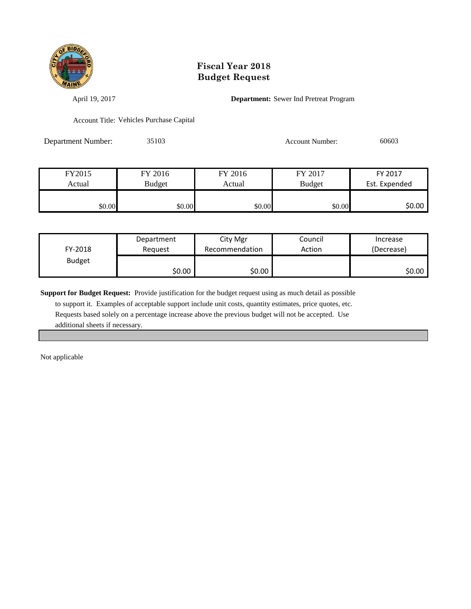

April 19, 2017 **Department:** Sewer Ind Pretreat Program

Account Title: Vehicles Purchase Capital

Department Number: 35103 Account Number: 60603

| FY2015 | FY 2016       | FY 2016 | FY 2017       | FY 2017       |
|--------|---------------|---------|---------------|---------------|
| Actual | <b>Budget</b> | Actual  | <b>Budget</b> | Est. Expended |
|        |               |         |               |               |
| \$0.00 | \$0.00        | \$0.00  | \$0.00        | \$0.00        |

| FY-2018       | Department | City Mgr       | Council | Increase   |
|---------------|------------|----------------|---------|------------|
|               | Reauest    | Recommendation | Action  | (Decrease) |
| <b>Budget</b> | \$0.00     | \$0.00         |         | SO.OO      |

**Support for Budget Request:** Provide justification for the budget request using as much detail as possible

 to support it. Examples of acceptable support include unit costs, quantity estimates, price quotes, etc. Requests based solely on a percentage increase above the previous budget will not be accepted. Use additional sheets if necessary.

Not applicable